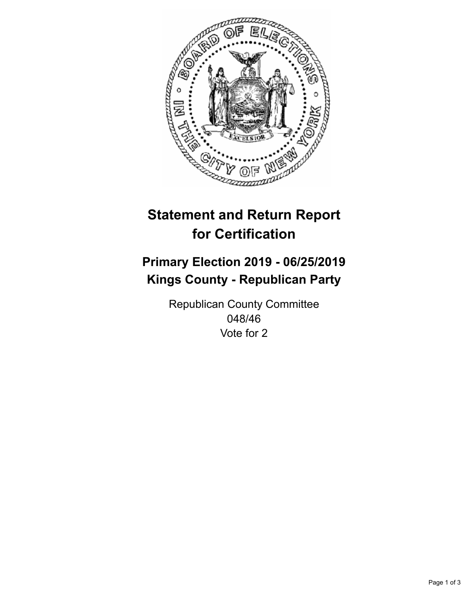

## **Statement and Return Report for Certification**

## **Primary Election 2019 - 06/25/2019 Kings County - Republican Party**

Republican County Committee 048/46 Vote for 2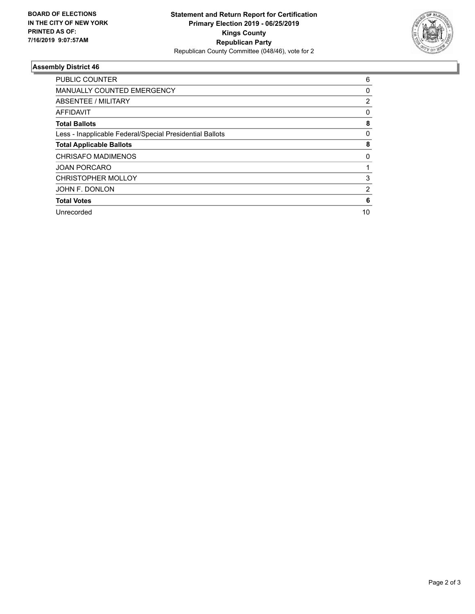

## **Assembly District 46**

| <b>PUBLIC COUNTER</b>                                    | 6            |
|----------------------------------------------------------|--------------|
| <b>MANUALLY COUNTED EMERGENCY</b>                        | 0            |
| ABSENTEE / MILITARY                                      | 2            |
| AFFIDAVIT                                                | $\mathbf{0}$ |
| <b>Total Ballots</b>                                     | 8            |
| Less - Inapplicable Federal/Special Presidential Ballots | 0            |
| <b>Total Applicable Ballots</b>                          | 8            |
| <b>CHRISAFO MADIMENOS</b>                                | 0            |
| <b>JOAN PORCARO</b>                                      |              |
| <b>CHRISTOPHER MOLLOY</b>                                | 3            |
| JOHN F. DONLON                                           | 2            |
| <b>Total Votes</b>                                       | 6            |
| Unrecorded                                               | 10           |